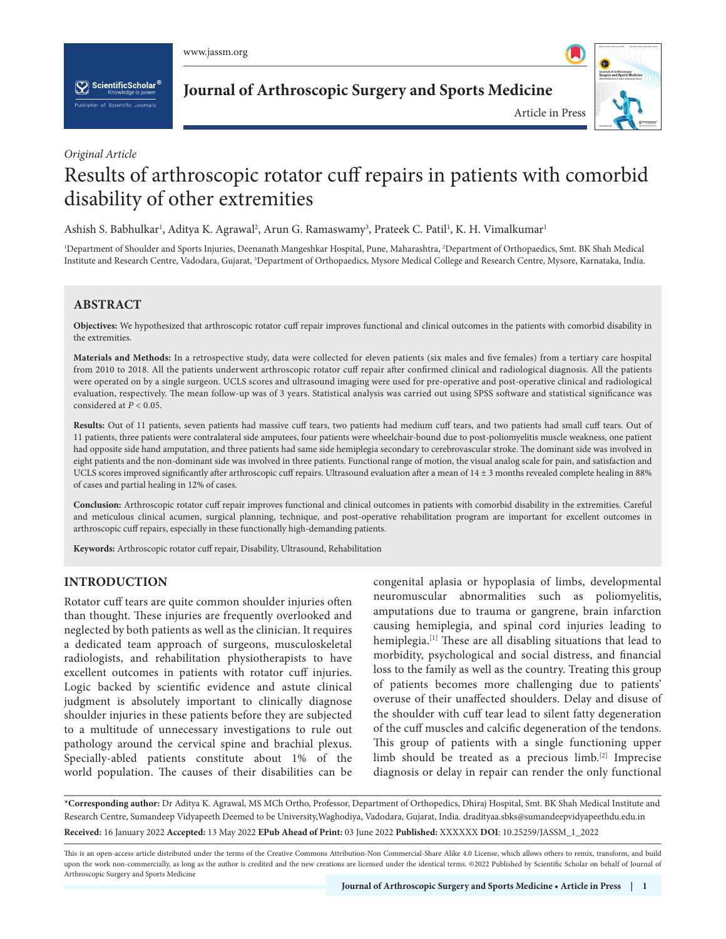

 $\left[\sum_{k}\right]$  Scientific Scholar  $^6$ 

**Journal of Arthroscopic Surgery and Sports Medicine**



*Original Article*

# Results of arthroscopic rotator cuff repairs in patients with comorbid disability of other extremities

Ashish S. Babhulkar<sup>ı</sup>, Aditya K. Agrawal<sup>2</sup>, Arun G. Ramaswamy<sup>3</sup>, Prateek C. Patil<sup>1</sup>, K. H. Vimalkumar<sup>ı</sup>

1 Department of Shoulder and Sports Injuries, Deenanath Mangeshkar Hospital, Pune, Maharashtra, 2 Department of Orthopaedics, Smt. BK Shah Medical Institute and Research Centre, Vadodara, Gujarat, <sup>3</sup>Department of Orthopaedics, Mysore Medical College and Research Centre, Mysore, Karnataka, India.

# **ABSTRACT**

**Objectives:** We hypothesized that arthroscopic rotator cuff repair improves functional and clinical outcomes in the patients with comorbid disability in the extremities.

**Materials and Methods:** In a retrospective study, data were collected for eleven patients (six males and five females) from a tertiary care hospital from 2010 to 2018. All the patients underwent arthroscopic rotator cuff repair after confirmed clinical and radiological diagnosis. All the patients were operated on by a single surgeon. UCLS scores and ultrasound imaging were used for pre-operative and post-operative clinical and radiological evaluation, respectively. The mean follow-up was of 3 years. Statistical analysis was carried out using SPSS software and statistical significance was considered at *P* < 0.05.

**Results:** Out of 11 patients, seven patients had massive cuff tears, two patients had medium cuff tears, and two patients had small cuff tears. Out of 11 patients, three patients were contralateral side amputees, four patients were wheelchair-bound due to post-poliomyelitis muscle weakness, one patient had opposite side hand amputation, and three patients had same side hemiplegia secondary to cerebrovascular stroke. The dominant side was involved in eight patients and the non-dominant side was involved in three patients. Functional range of motion, the visual analog scale for pain, and satisfaction and UCLS scores improved significantly after arthroscopic cuff repairs. Ultrasound evaluation after a mean of 14 ± 3 months revealed complete healing in 88% of cases and partial healing in 12% of cases.

**Conclusion:** Arthroscopic rotator cuff repair improves functional and clinical outcomes in patients with comorbid disability in the extremities. Careful and meticulous clinical acumen, surgical planning, technique, and post-operative rehabilitation program are important for excellent outcomes in arthroscopic cuff repairs, especially in these functionally high-demanding patients.

**Keywords:** Arthroscopic rotator cuff repair, Disability, Ultrasound, Rehabilitation

## **INTRODUCTION**

Rotator cuff tears are quite common shoulder injuries often than thought. These injuries are frequently overlooked and neglected by both patients as well as the clinician. It requires a dedicated team approach of surgeons, musculoskeletal radiologists, and rehabilitation physiotherapists to have excellent outcomes in patients with rotator cuff injuries. Logic backed by scientific evidence and astute clinical judgment is absolutely important to clinically diagnose shoulder injuries in these patients before they are subjected to a multitude of unnecessary investigations to rule out pathology around the cervical spine and brachial plexus. Specially-abled patients constitute about 1% of the world population. The causes of their disabilities can be

congenital aplasia or hypoplasia of limbs, developmental neuromuscular abnormalities such as poliomyelitis, amputations due to trauma or gangrene, brain infarction causing hemiplegia, and spinal cord injuries leading to hemiplegia.[1] These are all disabling situations that lead to morbidity, psychological and social distress, and financial loss to the family as well as the country. Treating this group of patients becomes more challenging due to patients' overuse of their unaffected shoulders. Delay and disuse of the shoulder with cuff tear lead to silent fatty degeneration of the cuff muscles and calcific degeneration of the tendons. This group of patients with a single functioning upper limb should be treated as a precious limb.[2] Imprecise diagnosis or delay in repair can render the only functional

**\*Corresponding author:** Dr Aditya K. Agrawal, MS MCh Ortho, Professor, Department of Orthopedics, Dhiraj Hospital, Smt. BK Shah Medical Institute and Research Centre, Sumandeep Vidyapeeth Deemed to be University,Waghodiya, Vadodara, Gujarat, India. dradityaa.sbks@sumandeepvidyapeethdu.edu.in **Received:** 16 January 2022 **Accepted:** 13 May 2022 **EPub Ahead of Print:** 03 June 2022 **Published:** XXXXXX **DOI**[: 10.25259/JASSM\\_1\\_2022](https://dx.doi.org/10.25259/JASSM_1_2022)

This is an open-access article distributed under the terms of the Creative Commons Attribution-Non Commercial-Share Alike 4.0 License, which allows others to remix, transform, and build upon the work non-commercially, as long as the author is credited and the new creations are licensed under the identical terms. ©2022 Published by Scientific Scholar on behalf of Journal of Arthroscopic Surgery and Sports Medicine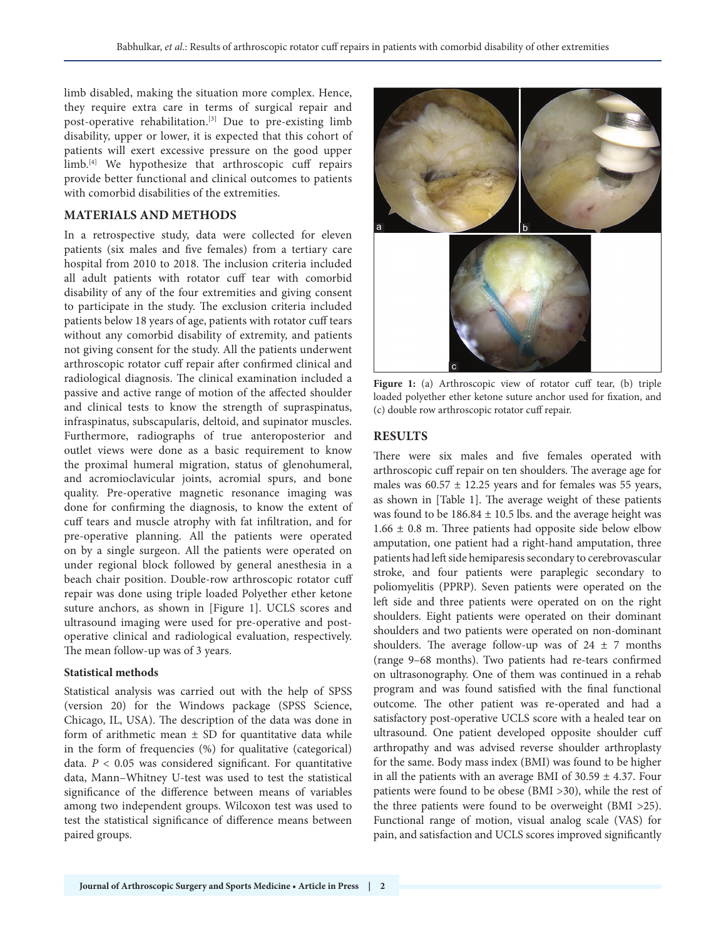limb disabled, making the situation more complex. Hence, they require extra care in terms of surgical repair and post-operative rehabilitation.[3] Due to pre-existing limb disability, upper or lower, it is expected that this cohort of patients will exert excessive pressure on the good upper limb.<sup>[4]</sup> We hypothesize that arthroscopic cuff repairs provide better functional and clinical outcomes to patients with comorbid disabilities of the extremities.

# **MATERIALS AND METHODS**

In a retrospective study, data were collected for eleven patients (six males and five females) from a tertiary care hospital from 2010 to 2018. The inclusion criteria included all adult patients with rotator cuff tear with comorbid disability of any of the four extremities and giving consent to participate in the study. The exclusion criteria included patients below 18 years of age, patients with rotator cuff tears without any comorbid disability of extremity, and patients not giving consent for the study. All the patients underwent arthroscopic rotator cuff repair after confirmed clinical and radiological diagnosis. The clinical examination included a passive and active range of motion of the affected shoulder and clinical tests to know the strength of supraspinatus, infraspinatus, subscapularis, deltoid, and supinator muscles. Furthermore, radiographs of true anteroposterior and outlet views were done as a basic requirement to know the proximal humeral migration, status of glenohumeral, and acromioclavicular joints, acromial spurs, and bone quality. Pre-operative magnetic resonance imaging was done for confirming the diagnosis, to know the extent of cuff tears and muscle atrophy with fat infiltration, and for pre-operative planning. All the patients were operated on by a single surgeon. All the patients were operated on under regional block followed by general anesthesia in a beach chair position. Double-row arthroscopic rotator cuff repair was done using triple loaded Polyether ether ketone suture anchors, as shown in [Figure 1]. UCLS scores and ultrasound imaging were used for pre-operative and postoperative clinical and radiological evaluation, respectively. The mean follow-up was of 3 years.

## **Statistical methods**

Statistical analysis was carried out with the help of SPSS (version 20) for the Windows package (SPSS Science, Chicago, IL, USA). The description of the data was done in form of arithmetic mean  $\pm$  SD for quantitative data while in the form of frequencies (%) for qualitative (categorical) data. *P* < 0.05 was considered significant. For quantitative data, Mann–Whitney U-test was used to test the statistical significance of the difference between means of variables among two independent groups. Wilcoxon test was used to test the statistical significance of difference means between paired groups.



Figure 1: (a) Arthroscopic view of rotator cuff tear, (b) triple loaded polyether ether ketone suture anchor used for fixation, and (c) double row arthroscopic rotator cuff repair.

## **RESULTS**

There were six males and five females operated with arthroscopic cuff repair on ten shoulders. The average age for males was  $60.57 \pm 12.25$  years and for females was 55 years, as shown in [Table 1]. The average weight of these patients was found to be  $186.84 \pm 10.5$  lbs. and the average height was  $1.66 \pm 0.8$  m. Three patients had opposite side below elbow amputation, one patient had a right-hand amputation, three patients had left side hemiparesis secondary to cerebrovascular stroke, and four patients were paraplegic secondary to poliomyelitis (PPRP). Seven patients were operated on the left side and three patients were operated on on the right shoulders. Eight patients were operated on their dominant shoulders and two patients were operated on non-dominant shoulders. The average follow-up was of  $24 \pm 7$  months (range 9–68 months). Two patients had re-tears confirmed on ultrasonography. One of them was continued in a rehab program and was found satisfied with the final functional outcome. The other patient was re-operated and had a satisfactory post-operative UCLS score with a healed tear on ultrasound. One patient developed opposite shoulder cuff arthropathy and was advised reverse shoulder arthroplasty for the same. Body mass index (BMI) was found to be higher in all the patients with an average BMI of  $30.59 \pm 4.37$ . Four patients were found to be obese (BMI >30), while the rest of the three patients were found to be overweight (BMI >25). Functional range of motion, visual analog scale (VAS) for pain, and satisfaction and UCLS scores improved significantly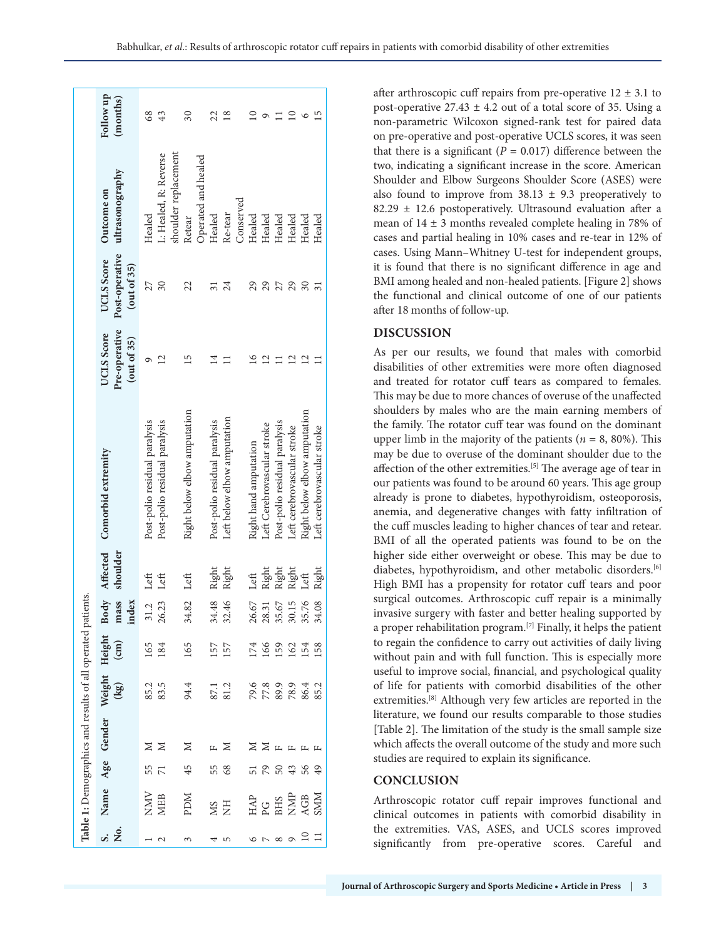|    |                                                                                                                            |                       | Table 1: Demographics and results of all operated patients. |                               |                      |                                                                          |                |                                                                |                                            |                                                   |                                                       |                       |
|----|----------------------------------------------------------------------------------------------------------------------------|-----------------------|-------------------------------------------------------------|-------------------------------|----------------------|--------------------------------------------------------------------------|----------------|----------------------------------------------------------------|--------------------------------------------|---------------------------------------------------|-------------------------------------------------------|-----------------------|
| ż. |                                                                                                                            |                       | Name Age Gender Weight                                      | $\left(\frac{1}{2}g\right)$   | Height $\frac{1}{2}$ |                                                                          |                | Body Affected Comorbid extremity<br>mass shoulder<br>index     | Pre-operative<br>UCLS Score<br>(out of 35) | Post-operative<br>UCLS Score<br>$($ out of 35 $)$ | ultrasonography<br>Outcome on                         | Follow up<br>(months) |
|    | NMV<br>MEB                                                                                                                 | 55<br>$\overline{7}1$ | $\geq$ $\geq$                                               | 85.2<br>83.5                  | 165<br>184           | 31.2 Left<br>26.23                                                       | Left           | Post-polio residual paralysis<br>Post-polio residual paralysis |                                            | 27<br>30                                          | L: Healed, R: Reverse<br>Healed                       | 68<br>43              |
|    | <b>NGd</b>                                                                                                                 | 45                    | Z                                                           | 94.4                          | 165                  | 34.82 Left                                                               |                | Right below elbow amputation                                   | 15                                         | 22                                                | shoulder replacement<br>Operated and healed<br>Retear | $30\,$                |
|    | <b>HIN</b>                                                                                                                 | 55<br>68              | Z<br>$\mathbf{L}$                                           | 87.1<br>81.2                  | 157<br>157           | 34.48<br>32.46                                                           | Right<br>Right | Left below elbow amputation<br>Post-polio residual paralysis   |                                            | 24<br>$\overline{31}$                             | Re-tear<br>Healed                                     | 22<br>∞               |
|    |                                                                                                                            |                       |                                                             |                               |                      |                                                                          | Left           | Right hand amputation                                          |                                            | 29                                                | Conserved<br>Healed                                   |                       |
|    |                                                                                                                            | 79<br>$50\,$          | ∑ ⊬                                                         |                               |                      |                                                                          | Right<br>Right | Post-polio residual paralysis<br>Left Cerebrovascular stroke   |                                            | 29<br>27                                          | Healed<br>Healed                                      |                       |
|    | $\begin{array}{l} \mathtt{HAP} \\ \mathtt{PG} \\ \mathtt{BHS} \\ \mathtt{NAP} \\ \mathtt{AGB} \\ \mathtt{SMM} \end{array}$ | 43<br>56              | $\mathbb{L}$<br>$\mathbf{L}$                                | 0.89942<br>77.89853<br>77.898 | 1992<br>1992<br>1994 | $\begin{array}{c} 26.67 \\ 28.31 \\ 35.67 \\ 30.15 \\ 35.76 \end{array}$ | Right<br>Left  | Right below elbow amputation<br>Left cerebrovascular stroke    | ų                                          | 29<br>30                                          | Healed<br>Healed                                      |                       |
|    |                                                                                                                            | 49                    |                                                             |                               | 158                  | 34.08                                                                    | Right          | Left cerebrovascular stroke                                    |                                            |                                                   | Healed                                                | 5                     |

after arthroscopic cuff repairs from pre-operative  $12 \pm 3.1$  to post-operative  $27.43 \pm 4.2$  out of a total score of 35. Using a non-parametric Wilcoxon signed-rank test for paired data on pre-operative and post-operative UCLS scores, it was seen that there is a significant  $(P = 0.017)$  difference between the two, indicating a significant increase in the score. American Shoulder and Elbow Surgeons Shoulder Score (ASES) were also found to improve from  $38.13 \pm 9.3$  preoperatively to 82.29  $\pm$  12.6 postoperatively. Ultrasound evaluation after a mean of  $14 \pm 3$  months revealed complete healing in 78% of cases and partial healing in 10% cases and re-tear in 12% of cases. Using Mann–Whitney U-test for independent groups, it is found that there is no significant difference in age and BMI among healed and non-healed patients. [Figure 2] shows the functional and clinical outcome of one of our patients after 18 months of follow-up.

## **DISCUSSION**

As per our results, we found that males with comorbid disabilities of other extremities were more often diagnosed and treated for rotator cuff tears as compared to females. This may be due to more chances of overuse of the unaffected shoulders by males who are the main earning members of the family. The rotator cuff tear was found on the dominant upper limb in the majority of the patients ( $n = 8$ , 80%). This may be due to overuse of the dominant shoulder due to the affection of the other extremities.<sup>[5]</sup> The average age of tear in our patients was found to be around 60 years. This age group already is prone to diabetes, hypothyroidism, osteoporosis, anemia, and degenerative changes with fatty infiltration of the cuff muscles leading to higher chances of tear and retear. BMI of all the operated patients was found to be on the higher side either overweight or obese. This may be due to diabetes, hypothyroidism, and other metabolic disorders.[6] High BMI has a propensity for rotator cuff tears and poor surgical outcomes. Arthroscopic cuff repair is a minimally invasive surgery with faster and better healing supported by a proper rehabilitation program.[7] Finally, it helps the patient to regain the confidence to carry out activities of daily living without pain and with full function. This is especially more useful to improve social, financial, and psychological quality of life for patients with comorbid disabilities of the other extremities.[8] Although very few articles are reported in the literature, we found our results comparable to those studies [Table 2]. The limitation of the study is the small sample size which affects the overall outcome of the study and more such studies are required to explain its significance.

## **CONCLUSION**

Arthroscopic rotator cuff repair improves functional and clinical outcomes in patients with comorbid disability in the extremities. VAS, ASES, and UCLS scores improved significantly from pre-operative scores. Careful and